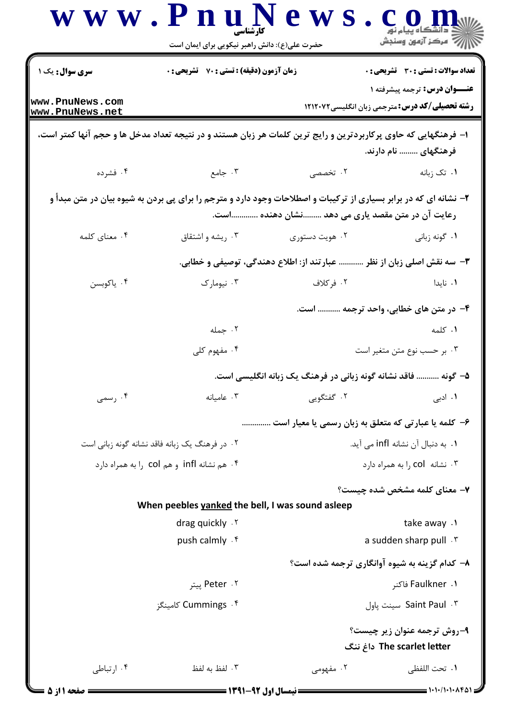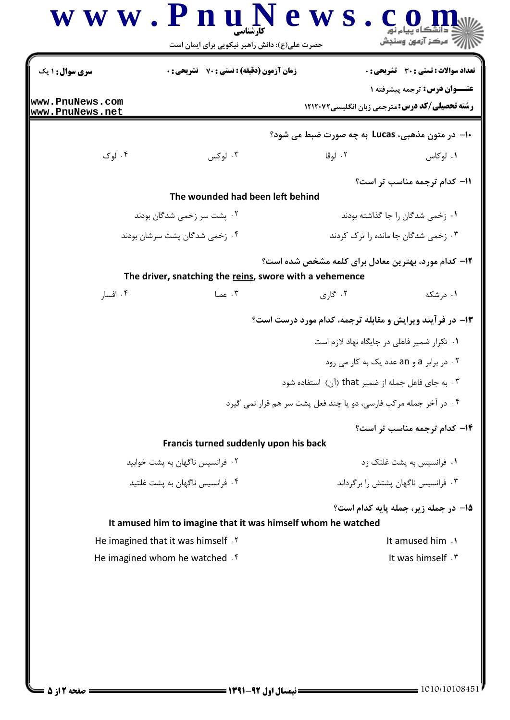|                                    | حضرت علی(ع): دانش راهبر نیکویی برای ایمان است                |                                                                  | أآ مركز آزمون وسنجش                                                                    |
|------------------------------------|--------------------------------------------------------------|------------------------------------------------------------------|----------------------------------------------------------------------------------------|
| <b>سری سوال :</b> ۱ یک             | <b>زمان آزمون (دقیقه) : تستی : 70 ٪ تشریحی : 0</b>           |                                                                  | <b>تعداد سوالات : تستی : 30 ٪ تشریحی : 0</b>                                           |
| www.PnuNews.com<br>www.PnuNews.net |                                                              |                                                                  | عنــوان درس: ترجمه پیشرفته ۱<br><b>رشته تحصیلی/کد درس:</b> مترجمی زبان انگلیسی ۱۲۱۲۰۷۲ |
|                                    |                                                              | ∙ا− در متون مذهبي، Lucas به چه صورت ضبط مي شود؟                  |                                                                                        |
| ۰۴ لوک                             | ۰۳ لوکس                                                      | ۰۲ لوقا                                                          | ۰۱. لوکاس                                                                              |
|                                    |                                                              |                                                                  | 11- کدام ترجمه مناسب تر است؟                                                           |
|                                    | The wounded had been left behind                             |                                                                  |                                                                                        |
| ۰۲ پشت سر زخمی شدگان بودند         |                                                              | ۰۱ زخمی شدگان را جا گذاشته بودند                                 |                                                                                        |
|                                    | ۰۴ زخمی شدگان پشت سرشان بودند                                |                                                                  | ۰۳ زخمی شدگان جا مانده را ترک کردند                                                    |
|                                    | The driver, snatching the reins, swore with a vehemence      | ۱۲- کدام مورد، بهترین معادل برای کلمه مشخص شده است؟              |                                                                                        |
| ۰۴ افسار                           | ۰۳ عصا                                                       | ۰۲ گاری                                                          | ۰۱ درشکه                                                                               |
|                                    |                                                              | <b>۱۳</b> - در فرآیند ویرایش و مقابله ترجمه، کدام مورد درست است؟ |                                                                                        |
|                                    |                                                              |                                                                  | ۰۱ تکرار ضمیر فاعلی در جایگاه نهاد لازم است                                            |
|                                    |                                                              |                                                                  | ۰۲ در برابر a و an عدد یک به کار می رود                                                |
|                                    |                                                              | ۰۳ به جای فاعل جمله از ضمیر that (آن) استفاده شود                |                                                                                        |
|                                    |                                                              | ۰۴ در آخر جمله مرکب فارسی، دو یا چند فعل پشت سر هم قرار نمی گیرد |                                                                                        |
|                                    |                                                              |                                                                  | ۱۴- کدام ترجمه مناسب تر است؟                                                           |
|                                    | Francis turned suddenly upon his back                        |                                                                  |                                                                                        |
|                                    | ۰۲ فرانسیس ناگهان به پشت خوابید                              |                                                                  | ۰۱ فرانسیس به پشت غلتک زد                                                              |
|                                    | ۰۴ فرانسیس ناگهان به یشت غلتید                               |                                                                  | ۰۳ فرانسیس ناگهان پشتش را برگرداند                                                     |
|                                    |                                                              |                                                                  | 15- در جمله زیر، جمله پایه کدام است؟                                                   |
|                                    | It amused him to imagine that it was himself whom he watched |                                                                  |                                                                                        |
|                                    | He imagined that it was himself . Y                          |                                                                  | It amused him .1                                                                       |
|                                    | He imagined whom he watched f                                |                                                                  |                                                                                        |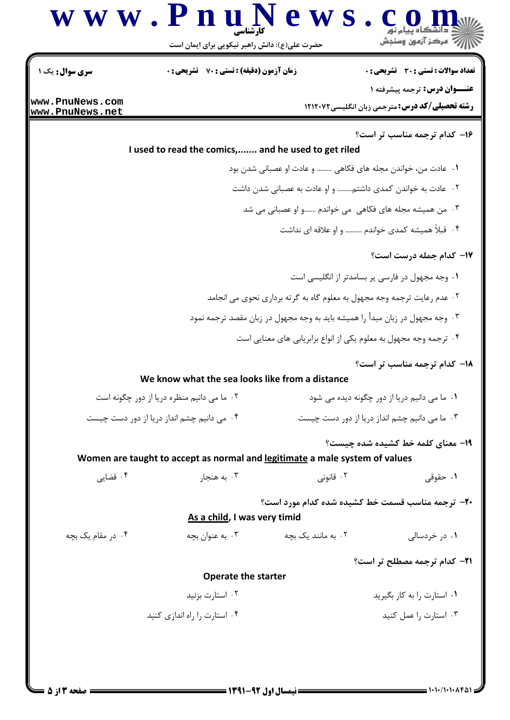|                                    | www.PnuNews<br>حضرت علی(ع): دانش راهبر نیکویی برای ایمان است                                |                                                                         | رآ مرکز آزمون وسنجش                                                                          |  |
|------------------------------------|---------------------------------------------------------------------------------------------|-------------------------------------------------------------------------|----------------------------------------------------------------------------------------------|--|
| سری سوال: یک ۱                     | <b>زمان آزمون (دقیقه) : تستی : 70 ٪ تشریحی: 0</b>                                           |                                                                         | تعداد سوالات : تستي : 30 ٪ تشريحي : 0                                                        |  |
| www.PnuNews.com<br>www.PnuNews.net |                                                                                             |                                                                         | <b>عنــوان درس:</b> ترجمه پیشرفته ۱<br><b>رشته تحصیلی/کد درس:</b> مترجمی زبان انگلیسی۱۲۱۲۰۷۲ |  |
|                                    |                                                                                             |                                                                         | ۱۶- کدام ترجمه مناسب تر است؟                                                                 |  |
|                                    | I used to read the comics, and he used to get riled                                         |                                                                         |                                                                                              |  |
|                                    |                                                                                             | ۰۱ عادت من، خواندن مجله های فکاهی ……… و عادت او عصبانی شدن بود          |                                                                                              |  |
|                                    |                                                                                             | ۰۲ عادت به خواندن کمدی داشتم و او عادت به عصبانی شدن داشت               |                                                                                              |  |
|                                    |                                                                                             | ۰۳ من همیشه مجله های فکاهی می خواندم و او عصبانی می شد                  |                                                                                              |  |
|                                    |                                                                                             |                                                                         | ۰۴ قبلاً همیشه کمدی خواندم ………. و او علاقه ای نداشت                                          |  |
|                                    |                                                                                             |                                                                         | <b>۱۷- کدام جمله درست است؟</b>                                                               |  |
|                                    |                                                                                             |                                                                         | ٠١ وجه مجهول در فارسي پر بسامدتر از انگليسي است                                              |  |
|                                    |                                                                                             | ۰۲ عدم رعایت ترجمه وجه مجهول به معلوم گاه به گرته برداری نحوی می انجامد |                                                                                              |  |
|                                    | ۰۳ وجه مجهول در زبان مبدأ را همیشه باید به وجه مجهول در زبان مقصد ترجمه نمود                |                                                                         |                                                                                              |  |
|                                    |                                                                                             | ۰۴ ترجمه وجه مجهول به معلوم یکی از انواع برابریابی های معنایی است       |                                                                                              |  |
|                                    |                                                                                             |                                                                         | 18- كدام ترجمه مناسب تر است؟                                                                 |  |
|                                    | We know what the sea looks like from a distance                                             |                                                                         |                                                                                              |  |
|                                    | ٠٢ ما مي دانيم منظره دريا از دور چگونه است                                                  | ۰۱ ما می دانیم دریا از دور چگونه دیده می شود                            |                                                                                              |  |
|                                    | ۰۴ می دانیم چشم انداز دریا از دور دست چیست<br>۰۳ ما می دانیم چشم انداز دریا از دور دست چیست |                                                                         |                                                                                              |  |
|                                    |                                                                                             |                                                                         | 19- معناي كلمه خط كشيده شده چيست؟                                                            |  |
|                                    | Women are taught to accept as normal and legitimate a male system of values                 |                                                                         |                                                                                              |  |
| ۰۴ قضایی                           | ۰۳ به هنجار                                                                                 | ۰۲ قانونی                                                               | ۰۱ حقوقی                                                                                     |  |
|                                    | As a child, I was very timid                                                                |                                                                         | <b>۳۰</b> ترجمه مناسب قسمت خط کشیده شده کدام مورد است؟                                       |  |
| ۰۴ در مقام یک بچه                  | ۰۳ به عنوان بچه $\cdot$                                                                     | ۰۲ به مانند یک بچه                                                      | ۰۱ در خردسالی                                                                                |  |
|                                    |                                                                                             |                                                                         | <b>۲۱- کدام ترجمه مصطلح تر است؟</b>                                                          |  |
|                                    | <b>Operate the starter</b>                                                                  |                                                                         |                                                                                              |  |
|                                    | ۰۲ استارت بزنید                                                                             |                                                                         | ۰۱ استارت را به کار بگیرید                                                                   |  |
|                                    | ۰۴ استارت را راه اندازی کنید                                                                |                                                                         | ۰۳ استارت را عمل کنید                                                                        |  |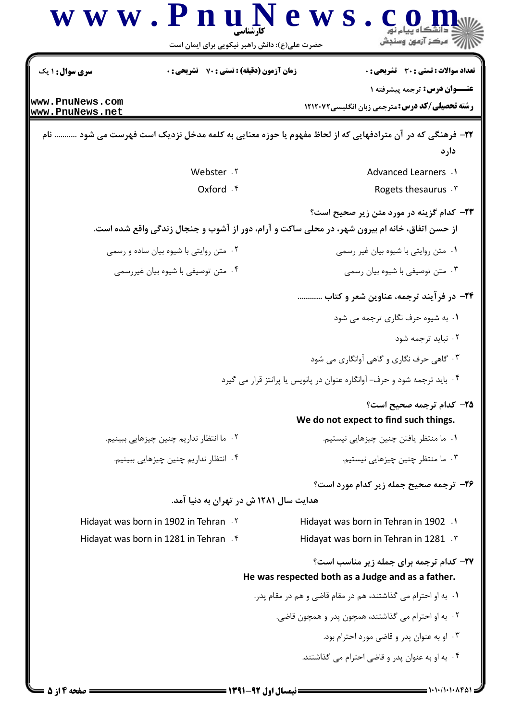

= نیمسال اول 92-1391 =